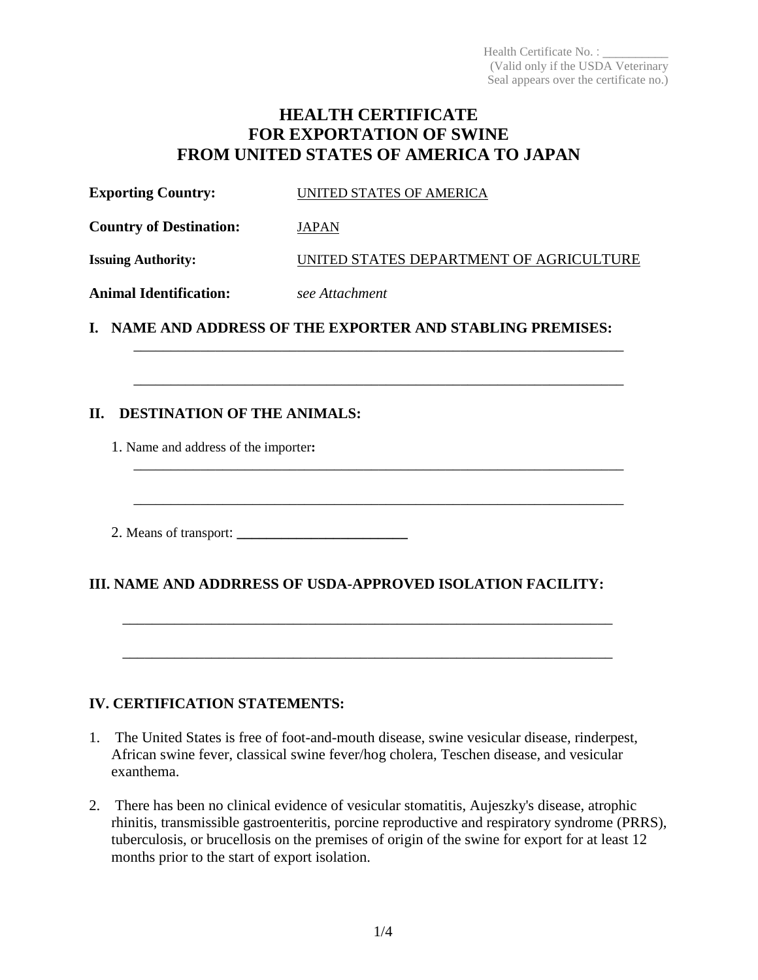Health Certificate No. : (Valid only if the USDA Veterinary Seal appears over the certificate no.)

# **HEALTH CERTIFICATE FOR EXPORTATION OF SWINE FROM UNITED STATES OF AMERICA TO JAPAN**

| <b>Exporting Country:</b><br>UNITED STATES OF AMERICA |
|-------------------------------------------------------|
|-------------------------------------------------------|

**Country of Destination:** JAPAN

**Issuing Authority:** UNITED STATES DEPARTMENT OF AGRICULTURE

\_\_\_\_\_\_\_\_\_\_\_\_\_\_\_\_\_\_\_\_\_\_\_\_\_\_\_\_\_\_\_\_\_\_\_\_\_\_\_\_\_\_\_\_\_\_\_\_\_\_\_\_\_\_\_\_\_\_\_\_\_\_\_\_\_\_

\_\_\_\_\_\_\_\_\_\_\_\_\_\_\_\_\_\_\_\_\_\_\_\_\_\_\_\_\_\_\_\_\_\_\_\_\_\_\_\_\_\_\_\_\_\_\_\_\_\_\_\_\_\_\_\_\_\_\_\_\_\_\_\_\_\_

\_\_\_\_\_\_\_\_\_\_\_\_\_\_\_\_\_\_\_\_\_\_\_\_\_\_\_\_\_\_\_\_\_\_\_\_\_\_\_\_\_\_\_\_\_\_\_\_\_\_\_\_\_\_\_\_\_\_\_\_\_\_\_\_\_\_

\_\_\_\_\_\_\_\_\_\_\_\_\_\_\_\_\_\_\_\_\_\_\_\_\_\_\_\_\_\_\_\_\_\_\_\_\_\_\_\_\_\_\_\_\_\_\_\_\_\_\_\_\_\_\_\_\_\_\_\_\_\_\_\_\_\_

**Animal Identification:** *see Attachment*

**I. NAME AND ADDRESS OF THE EXPORTER AND STABLING PREMISES:**

### **II. DESTINATION OF THE ANIMALS:**

- 1. Name and address of the importer**:**
- 2. Means of transport: **\_\_\_\_\_\_\_\_\_\_\_\_\_\_\_\_\_\_\_\_\_\_\_**

# **III. NAME AND ADDRRESS OF USDA-APPROVED ISOLATION FACILITY:**

\_\_\_\_\_\_\_\_\_\_\_\_\_\_\_\_\_\_\_\_\_\_\_\_\_\_\_\_\_\_\_\_\_\_\_\_\_\_\_\_\_\_\_\_\_\_\_\_\_\_\_\_\_\_\_\_\_\_\_\_\_\_\_\_\_\_

\_\_\_\_\_\_\_\_\_\_\_\_\_\_\_\_\_\_\_\_\_\_\_\_\_\_\_\_\_\_\_\_\_\_\_\_\_\_\_\_\_\_\_\_\_\_\_\_\_\_\_\_\_\_\_\_\_\_\_\_\_\_\_\_\_\_

# **IV. CERTIFICATION STATEMENTS:**

- 1. The United States is free of foot-and-mouth disease, swine vesicular disease, rinderpest, African swine fever, classical swine fever/hog cholera, Teschen disease, and vesicular exanthema.
- 2. There has been no clinical evidence of vesicular stomatitis, Aujeszky's disease, atrophic rhinitis, transmissible gastroenteritis, porcine reproductive and respiratory syndrome (PRRS), tuberculosis, or brucellosis on the premises of origin of the swine for export for at least 12 months prior to the start of export isolation.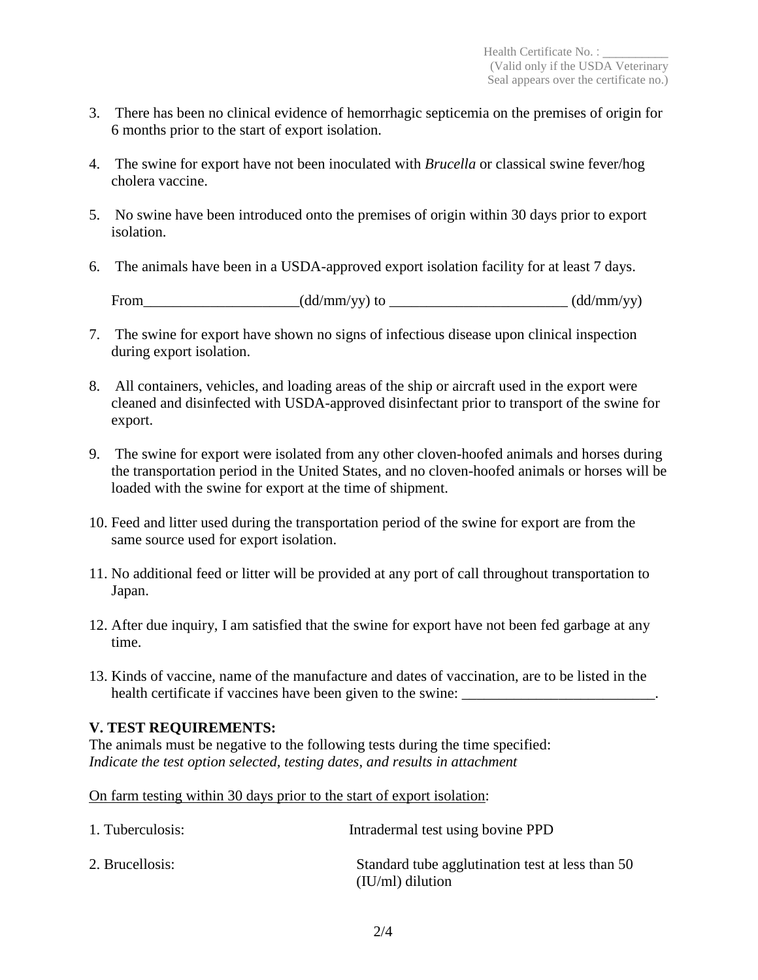- 3. There has been no clinical evidence of hemorrhagic septicemia on the premises of origin for 6 months prior to the start of export isolation.
- 4. The swine for export have not been inoculated with *Brucella* or classical swine fever/hog cholera vaccine.
- 5. No swine have been introduced onto the premises of origin within 30 days prior to export isolation.
- 6. The animals have been in a USDA-approved export isolation facility for at least 7 days.

From  $(dd/mm/yy)$  to  $(dd/mm/yy)$ 

- 7. The swine for export have shown no signs of infectious disease upon clinical inspection during export isolation.
- 8. All containers, vehicles, and loading areas of the ship or aircraft used in the export were cleaned and disinfected with USDA-approved disinfectant prior to transport of the swine for export.
- 9. The swine for export were isolated from any other cloven-hoofed animals and horses during the transportation period in the United States, and no cloven-hoofed animals or horses will be loaded with the swine for export at the time of shipment.
- 10. Feed and litter used during the transportation period of the swine for export are from the same source used for export isolation.
- 11. No additional feed or litter will be provided at any port of call throughout transportation to Japan.
- 12. After due inquiry, I am satisfied that the swine for export have not been fed garbage at any time.
- 13. Kinds of vaccine, name of the manufacture and dates of vaccination, are to be listed in the health certificate if vaccines have been given to the swine:

# **V. TEST REQUIREMENTS:**

The animals must be negative to the following tests during the time specified: *Indicate the test option selected, testing dates, and results in attachment* 

On farm testing within 30 days prior to the start of export isolation:

| 1. Tuberculosis: | Intradermal test using bovine PPD                                      |
|------------------|------------------------------------------------------------------------|
| 2. Brucellosis:  | Standard tube agglutination test at less than 50<br>$(IU/ml)$ dilution |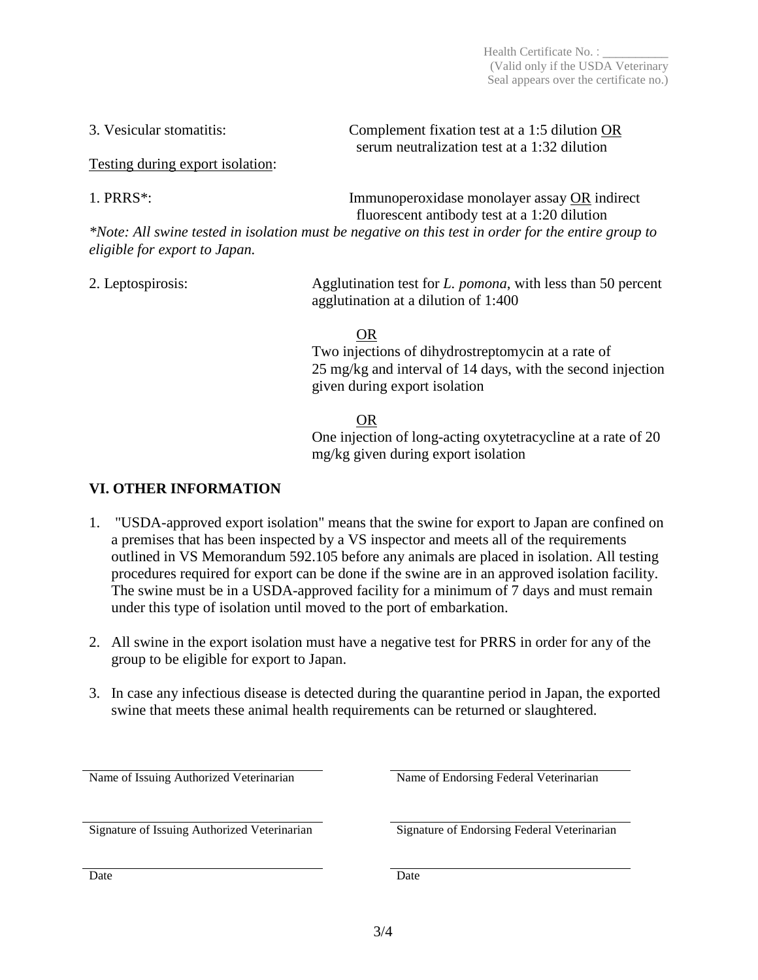Testing during export isolation:

1. PRRS<sup>\*</sup>: Immunoperoxidase monolayer assay OR indirect fluorescent antibody test at a 1:20 dilution

*\*Note: All swine tested in isolation must be negative on this test in order for the entire group to eligible for export to Japan.*

2. Leptospirosis: Agglutination test for *L. pomona*, with less than 50 percent agglutination at a dilution of 1:400

OR

Two injections of dihydrostreptomycin at a rate of 25 mg/kg and interval of 14 days, with the second injection given during export isolation

### OR

One injection of long-acting oxytetracycline at a rate of 20 mg/kg given during export isolation

### **VI. OTHER INFORMATION**

- 1. "USDA-approved export isolation" means that the swine for export to Japan are confined on a premises that has been inspected by a VS inspector and meets all of the requirements outlined in VS Memorandum 592.105 before any animals are placed in isolation. All testing procedures required for export can be done if the swine are in an approved isolation facility. The swine must be in a USDA-approved facility for a minimum of 7 days and must remain under this type of isolation until moved to the port of embarkation.
- 2. All swine in the export isolation must have a negative test for PRRS in order for any of the group to be eligible for export to Japan.
- 3. In case any infectious disease is detected during the quarantine period in Japan, the exported swine that meets these animal health requirements can be returned or slaughtered.

| Name of Issuing Authorized Veterinarian      | Name of Endorsing Federal Veterinarian      |  |
|----------------------------------------------|---------------------------------------------|--|
| Signature of Issuing Authorized Veterinarian | Signature of Endorsing Federal Veterinarian |  |
| Date                                         | Date                                        |  |